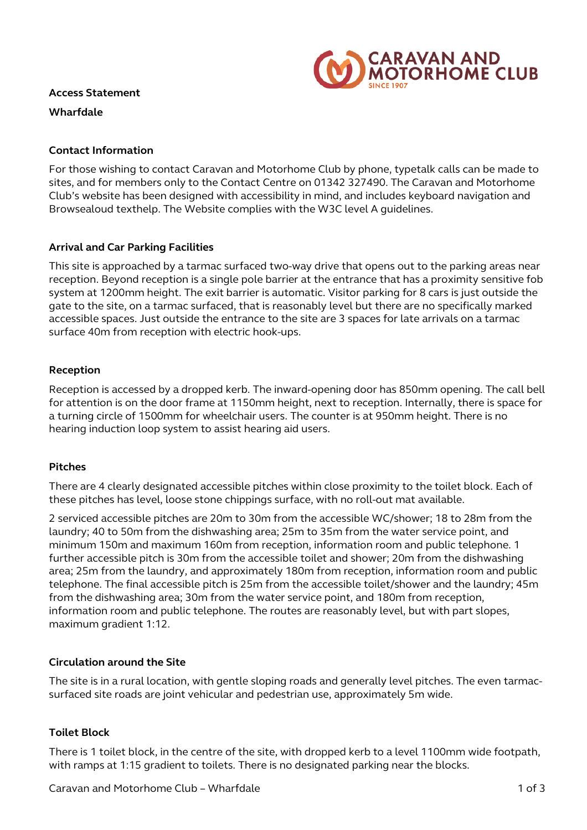

#### **Access Statement**

**Wharfdale**

### **Contact Information**

For those wishing to contact Caravan and Motorhome Club by phone, typetalk calls can be made to sites, and for members only to the Contact Centre on 01342 327490. The Caravan and Motorhome Club's website has been designed with accessibility in mind, and includes keyboard navigation and Browsealoud texthelp. The Website complies with the W3C level A guidelines.

## **Arrival and Car Parking Facilities**

This site is approached by a tarmac surfaced two-way drive that opens out to the parking areas near reception. Beyond reception is a single pole barrier at the entrance that has a proximity sensitive fob system at 1200mm height. The exit barrier is automatic. Visitor parking for 8 cars is just outside the gate to the site, on a tarmac surfaced, that is reasonably level but there are no specifically marked accessible spaces. Just outside the entrance to the site are 3 spaces for late arrivals on a tarmac surface 40m from reception with electric hook-ups.

### **Reception**

Reception is accessed by a dropped kerb. The inward-opening door has 850mm opening. The call bell for attention is on the door frame at 1150mm height, next to reception. Internally, there is space for a turning circle of 1500mm for wheelchair users. The counter is at 950mm height. There is no hearing induction loop system to assist hearing aid users.

### **Pitches**

There are 4 clearly designated accessible pitches within close proximity to the toilet block. Each of these pitches has level, loose stone chippings surface, with no roll-out mat available.

2 serviced accessible pitches are 20m to 30m from the accessible WC/shower; 18 to 28m from the laundry; 40 to 50m from the dishwashing area; 25m to 35m from the water service point, and minimum 150m and maximum 160m from reception, information room and public telephone. 1 further accessible pitch is 30m from the accessible toilet and shower; 20m from the dishwashing area; 25m from the laundry, and approximately 180m from reception, information room and public telephone. The final accessible pitch is 25m from the accessible toilet/shower and the laundry; 45m from the dishwashing area; 30m from the water service point, and 180m from reception, information room and public telephone. The routes are reasonably level, but with part slopes, maximum gradient 1:12.

### **Circulation around the Site**

The site is in a rural location, with gentle sloping roads and generally level pitches. The even tarmacsurfaced site roads are joint vehicular and pedestrian use, approximately 5m wide.

### **Toilet Block**

There is 1 toilet block, in the centre of the site, with dropped kerb to a level 1100mm wide footpath, with ramps at 1:15 gradient to toilets. There is no designated parking near the blocks.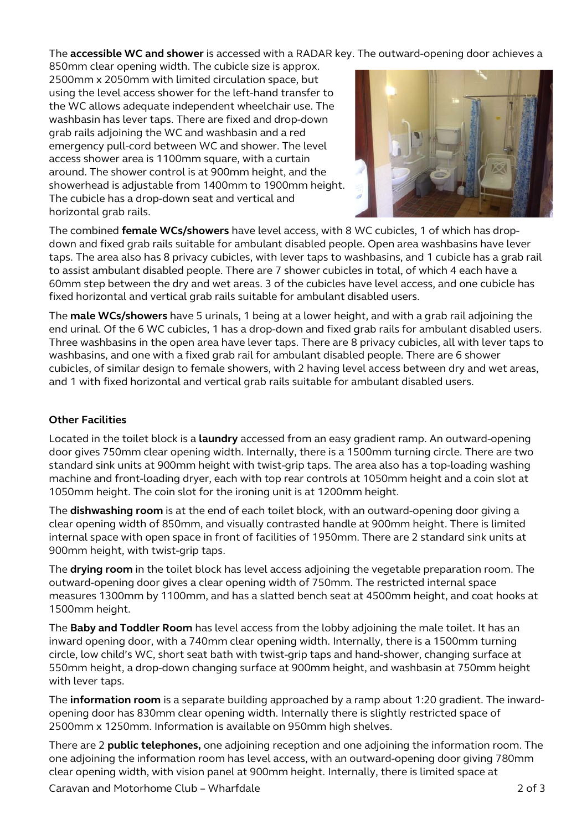The **accessible WC and shower** is accessed with a RADAR key. The outward-opening door achieves a

850mm clear opening width. The cubicle size is approx. 2500mm x 2050mm with limited circulation space, but using the level access shower for the left-hand transfer to the WC allows adequate independent wheelchair use. The washbasin has lever taps. There are fixed and drop-down grab rails adjoining the WC and washbasin and a red emergency pull-cord between WC and shower. The level access shower area is 1100mm square, with a curtain around. The shower control is at 900mm height, and the showerhead is adjustable from 1400mm to 1900mm height. The cubicle has a drop-down seat and vertical and horizontal grab rails.



The combined **female WCs/showers** have level access, with 8 WC cubicles, 1 of which has dropdown and fixed grab rails suitable for ambulant disabled people. Open area washbasins have lever taps. The area also has 8 privacy cubicles, with lever taps to washbasins, and 1 cubicle has a grab rail to assist ambulant disabled people. There are 7 shower cubicles in total, of which 4 each have a 60mm step between the dry and wet areas. 3 of the cubicles have level access, and one cubicle has fixed horizontal and vertical grab rails suitable for ambulant disabled users.

The **male WCs/showers** have 5 urinals, 1 being at a lower height, and with a grab rail adjoining the end urinal. Of the 6 WC cubicles, 1 has a drop-down and fixed grab rails for ambulant disabled users. Three washbasins in the open area have lever taps. There are 8 privacy cubicles, all with lever taps to washbasins, and one with a fixed grab rail for ambulant disabled people. There are 6 shower cubicles, of similar design to female showers, with 2 having level access between dry and wet areas, and 1 with fixed horizontal and vertical grab rails suitable for ambulant disabled users.

# **Other Facilities**

Located in the toilet block is a **laundry** accessed from an easy gradient ramp. An outward-opening door gives 750mm clear opening width. Internally, there is a 1500mm turning circle. There are two standard sink units at 900mm height with twist-grip taps. The area also has a top-loading washing machine and front-loading dryer, each with top rear controls at 1050mm height and a coin slot at 1050mm height. The coin slot for the ironing unit is at 1200mm height.

The **dishwashing room** is at the end of each toilet block, with an outward-opening door giving a clear opening width of 850mm, and visually contrasted handle at 900mm height. There is limited internal space with open space in front of facilities of 1950mm. There are 2 standard sink units at 900mm height, with twist-grip taps.

The **drying room** in the toilet block has level access adjoining the vegetable preparation room. The outward-opening door gives a clear opening width of 750mm. The restricted internal space measures 1300mm by 1100mm, and has a slatted bench seat at 4500mm height, and coat hooks at 1500mm height.

The **Baby and Toddler Room** has level access from the lobby adjoining the male toilet. It has an inward opening door, with a 740mm clear opening width. Internally, there is a 1500mm turning circle, low child's WC, short seat bath with twist-grip taps and hand-shower, changing surface at 550mm height, a drop-down changing surface at 900mm height, and washbasin at 750mm height with lever taps.

The **information room** is a separate building approached by a ramp about 1:20 gradient. The inwardopening door has 830mm clear opening width. Internally there is slightly restricted space of 2500mm x 1250mm. Information is available on 950mm high shelves.

There are 2 **public telephones,** one adjoining reception and one adjoining the information room. The one adjoining the information room has level access, with an outward-opening door giving 780mm clear opening width, with vision panel at 900mm height. Internally, there is limited space at